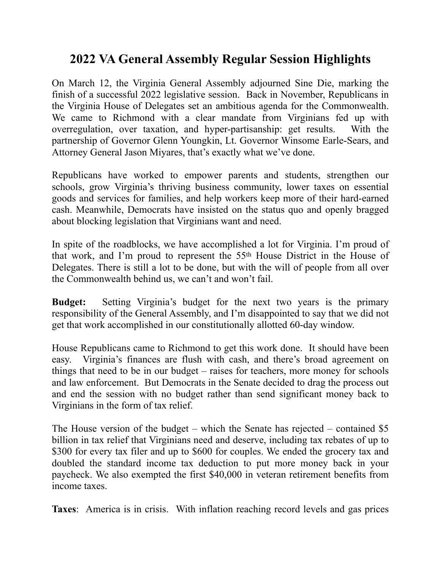## **2022 VA General Assembly Regular Session Highlights**

On March 12, the Virginia General Assembly adjourned Sine Die, marking the finish of a successful 2022 legislative session.Back in November, Republicans in the Virginia House of Delegates set an ambitious agenda for the Commonwealth. We came to Richmond with a clear mandate from Virginians fed up with overregulation, over taxation, and hyper-partisanship: get results. With the partnership of Governor Glenn Youngkin, Lt. Governor Winsome Earle-Sears, and Attorney General Jason Miyares, that's exactly what we've done.

Republicans have worked to empower parents and students, strengthen our schools, grow Virginia's thriving business community, lower taxes on essential goods and services for families, and help workers keep more of their hard-earned cash. Meanwhile, Democrats have insisted on the status quo and openly bragged about blocking legislation that Virginians want and need.

In spite of the roadblocks, we have accomplished a lot for Virginia. I'm proud of that work, and I'm proud to represent the 55th House District in the House of Delegates. There is still a lot to be done, but with the will of people from all over the Commonwealth behind us, we can't and won't fail.

**Budget:** Setting Virginia's budget for the next two years is the primary responsibility of the General Assembly, and I'm disappointed to say that we did not get that work accomplished in our constitutionally allotted 60-day window.

House Republicans came to Richmond to get this work done. It should have been easy. Virginia's finances are flush with cash, and there's broad agreement on things that need to be in our budget – raises for teachers, more money for schools and law enforcement. But Democrats in the Senate decided to drag the process out and end the session with no budget rather than send significant money back to Virginians in the form of tax relief.

The House version of the budget – which the Senate has rejected – contained \$5 billion in tax relief that Virginians need and deserve, including tax rebates of up to \$300 for every tax filer and up to \$600 for couples. We ended the grocery tax and doubled the standard income tax deduction to put more money back in your paycheck. We also exempted the first \$40,000 in veteran retirement benefits from income taxes.

**Taxes**: America is in crisis. With inflation reaching record levels and gas prices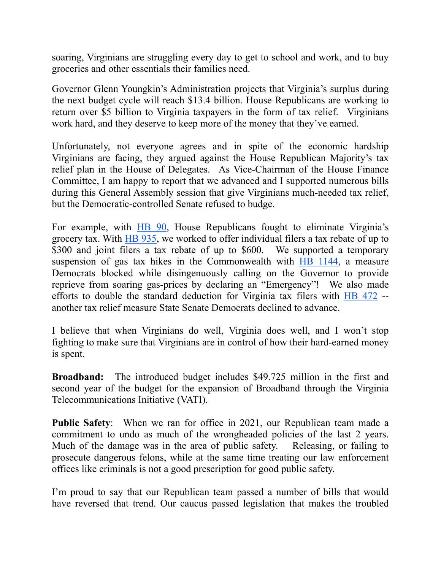soaring, Virginians are struggling every day to get to school and work, and to buy groceries and other essentials their families need.

Governor Glenn Youngkin's Administration projects that Virginia's surplus during the next budget cycle will reach \$13.4 billion. House Republicans are working to return over \$5 billion to Virginia taxpayers in the form of tax relief. Virginians work hard, and they deserve to keep more of the money that they've earned.

Unfortunately, not everyone agrees and in spite of the economic hardship Virginians are facing, they argued against the House Republican Majority's tax relief plan in the House of Delegates. As Vice-Chairman of the House Finance Committee, I am happy to report that we advanced and I supported numerous bills during this General Assembly session that give Virginians much-needed tax relief, but the Democratic-controlled Senate refused to budge.

For example, with [HB 90](https://lis.virginia.gov/cgi-bin/legp604.exe?221+sum+HB90), House Republicans fought to eliminate Virginia's grocery tax. With [HB 935](https://lis.virginia.gov/cgi-bin/legp604.exe?221+sum+HB935), we worked to offer individual filers a tax rebate of up to \$300 and joint filers a tax rebate of up to \$600. We supported a temporary suspension of gas tax hikes in the Commonwealth with [HB 1144,](https://lis.virginia.gov/cgi-bin/legp604.exe?ses=221&typ=bil&val=hb1144) a measure Democrats blocked while disingenuously calling on the Governor to provide reprieve from soaring gas-prices by declaring an "Emergency"! We also made efforts to double the standard deduction for Virginia tax filers with [HB 472](https://lis.virginia.gov/cgi-bin/legp604.exe?221+sum+HB472) - another tax relief measure State Senate Democrats declined to advance.

I believe that when Virginians do well, Virginia does well, and I won't stop fighting to make sure that Virginians are in control of how their hard-earned money is spent.

**Broadband:** The introduced budget includes \$49.725 million in the first and second year of the budget for the expansion of Broadband through the Virginia Telecommunications Initiative (VATI).

**Public Safety**: When we ran for office in 2021, our Republican team made a commitment to undo as much of the wrongheaded policies of the last 2 years. Much of the damage was in the area of public safety. Releasing, or failing to prosecute dangerous felons, while at the same time treating our law enforcement offices like criminals is not a good prescription for good public safety.

I'm proud to say that our Republican team passed a number of bills that would have reversed that trend. Our caucus passed legislation that makes the troubled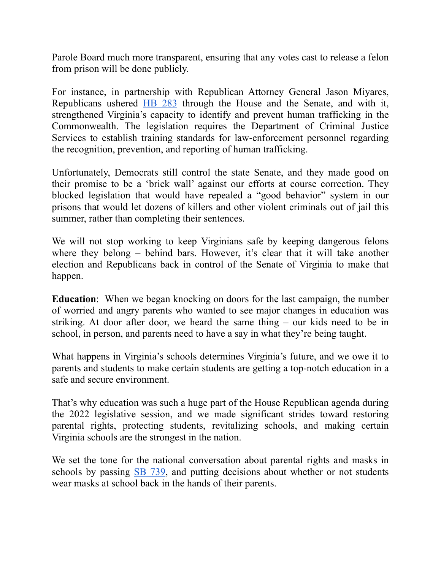Parole Board much more transparent, ensuring that any votes cast to release a felon from prison will be done publicly.

For instance, in partnership with Republican Attorney General Jason Miyares, Republicans ushered [HB 283](https://lis.virginia.gov/cgi-bin/legp604.exe?221+sum+HB283) through the House and the Senate, and with it, strengthened Virginia's capacity to identify and prevent human trafficking in the Commonwealth. The legislation requires the Department of Criminal Justice Services to establish training standards for law-enforcement personnel regarding the recognition, prevention, and reporting of human trafficking.

Unfortunately, Democrats still control the state Senate, and they made good on their promise to be a 'brick wall' against our efforts at course correction. They blocked legislation that would have repealed a "good behavior" system in our prisons that would let dozens of killers and other violent criminals out of jail this summer, rather than completing their sentences.

We will not stop working to keep Virginians safe by keeping dangerous felons where they belong – behind bars. However, it's clear that it will take another election and Republicans back in control of the Senate of Virginia to make that happen.

**Education**: When we began knocking on doors for the last campaign, the number of worried and angry parents who wanted to see major changes in education was striking. At door after door, we heard the same thing – our kids need to be in school, in person, and parents need to have a say in what they're being taught.

What happens in Virginia's schools determines Virginia's future, and we owe it to parents and students to make certain students are getting a top-notch education in a safe and secure environment.

That's why education was such a huge part of the House Republican agenda during the 2022 legislative session, and we made significant strides toward restoring parental rights, protecting students, revitalizing schools, and making certain Virginia schools are the strongest in the nation.

We set the tone for the national conversation about parental rights and masks in schools by passing [SB 739,](https://lis.virginia.gov/cgi-bin/legp604.exe?221+sum+SB739) and putting decisions about whether or not students wear masks at school back in the hands of their parents.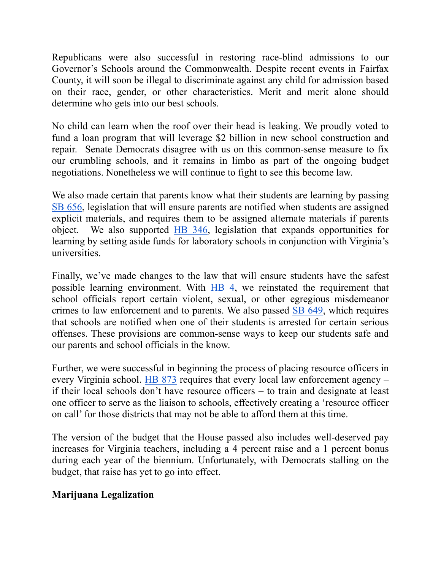Republicans were also successful in restoring race-blind admissions to our Governor's Schools around the Commonwealth. Despite recent events in Fairfax County, it will soon be illegal to discriminate against any child for admission based on their race, gender, or other characteristics. Merit and merit alone should determine who gets into our best schools.

No child can learn when the roof over their head is leaking. We proudly voted to fund a loan program that will leverage \$2 billion in new school construction and repair. Senate Democrats disagree with us on this common-sense measure to fix our crumbling schools, and it remains in limbo as part of the ongoing budget negotiations. Nonetheless we will continue to fight to see this become law.

We also made certain that parents know what their students are learning by passing [SB 656,](https://lis.virginia.gov/cgi-bin/legp604.exe?221+sum+SB656) legislation that will ensure parents are notified when students are assigned explicit materials, and requires them to be assigned alternate materials if parents object. We also supported [HB 346](https://lis.virginia.gov/cgi-bin/legp604.exe?221+sum+HB346), legislation that expands opportunities for learning by setting aside funds for laboratory schools in conjunction with Virginia's universities.

Finally, we've made changes to the law that will ensure students have the safest possible learning environment. With [HB 4,](https://lis.virginia.gov/cgi-bin/legp604.exe?221+sum+HB4) we reinstated the requirement that school officials report certain violent, sexual, or other egregious misdemeanor crimes to law enforcement and to parents. We also passed [SB 649,](https://lis.virginia.gov/cgi-bin/legp604.exe?221+sum+SB649) which requires that schools are notified when one of their students is arrested for certain serious offenses. These provisions are common-sense ways to keep our students safe and our parents and school officials in the know.

Further, we were successful in beginning the process of placing resource officers in every Virginia school. [HB 873](https://lis.virginia.gov/cgi-bin/legp604.exe?221+sum+HB873) requires that every local law enforcement agency – if their local schools don't have resource officers – to train and designate at least one officer to serve as the liaison to schools, effectively creating a 'resource officer on call' for those districts that may not be able to afford them at this time.

The version of the budget that the House passed also includes well-deserved pay increases for Virginia teachers, including a 4 percent raise and a 1 percent bonus during each year of the biennium. Unfortunately, with Democrats stalling on the budget, that raise has yet to go into effect.

## **Marijuana Legalization**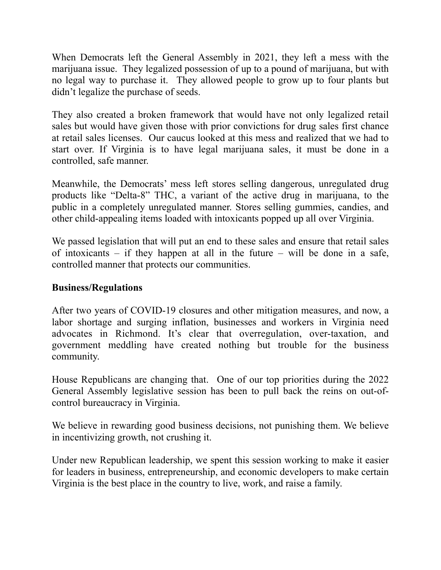When Democrats left the General Assembly in 2021, they left a mess with the marijuana issue. They legalized possession of up to a pound of marijuana, but with no legal way to purchase it. They allowed people to grow up to four plants but didn't legalize the purchase of seeds.

They also created a broken framework that would have not only legalized retail sales but would have given those with prior convictions for drug sales first chance at retail sales licenses. Our caucus looked at this mess and realized that we had to start over. If Virginia is to have legal marijuana sales, it must be done in a controlled, safe manner.

Meanwhile, the Democrats' mess left stores selling dangerous, unregulated drug products like "Delta-8" THC, a variant of the active drug in marijuana, to the public in a completely unregulated manner. Stores selling gummies, candies, and other child-appealing items loaded with intoxicants popped up all over Virginia.

We passed legislation that will put an end to these sales and ensure that retail sales of intoxicants – if they happen at all in the future – will be done in a safe, controlled manner that protects our communities.

## **Business/Regulations**

After two years of COVID-19 closures and other mitigation measures, and now, a labor shortage and surging inflation, businesses and workers in Virginia need advocates in Richmond. It's clear that overregulation, over-taxation, and government meddling have created nothing but trouble for the business community.

House Republicans are changing that. One of our top priorities during the 2022 General Assembly legislative session has been to pull back the reins on out-ofcontrol bureaucracy in Virginia.

We believe in rewarding good business decisions, not punishing them. We believe in incentivizing growth, not crushing it.

Under new Republican leadership, we spent this session working to make it easier for leaders in business, entrepreneurship, and economic developers to make certain Virginia is the best place in the country to live, work, and raise a family.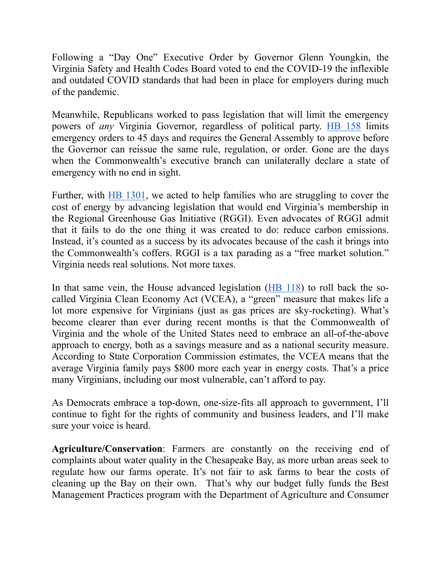Following a "Day One" Executive Order by Governor Glenn Youngkin, the Virginia Safety and Health Codes Board voted to end the COVID-19 the inflexible and outdated COVID standards that had been in place for employers during much of the pandemic.

Meanwhile, Republicans worked to pass legislation that will limit the emergency powers of *any* Virginia Governor, regardless of political party. [HB 158](https://lis.virginia.gov/cgi-bin/legp604.exe?ses=221&typ=bil&val=hb158) limits emergency orders to 45 days and requires the General Assembly to approve before the Governor can reissue the same rule, regulation, or order. Gone are the days when the Commonwealth's executive branch can unilaterally declare a state of emergency with no end in sight.

Further, with [HB 1301](https://lis.virginia.gov/cgi-bin/legp604.exe?221+sum+HB1301), we acted to help families who are struggling to cover the cost of energy by advancing legislation that would end Virginia's membership in the Regional Greenhouse Gas Initiative (RGGI). Even advocates of RGGI admit that it fails to do the one thing it was created to do: reduce carbon emissions. Instead, it's counted as a success by its advocates because of the cash it brings into the Commonwealth's coffers. RGGI is a tax parading as a "free market solution." Virginia needs real solutions. Not more taxes.

In that same vein, the House advanced legislation [\(HB 118\)](https://lis.virginia.gov/cgi-bin/legp604.exe?221+sum+HB118) to roll back the socalled Virginia Clean Economy Act (VCEA), a "green" measure that makes life a lot more expensive for Virginians (just as gas prices are sky-rocketing). What's become clearer than ever during recent months is that the Commonwealth of Virginia and the whole of the United States need to embrace an all-of-the-above approach to energy, both as a savings measure and as a national security measure. According to State Corporation Commission estimates, the VCEA means that the average Virginia family pays \$800 more each year in energy costs. That's a price many Virginians, including our most vulnerable, can't afford to pay.

As Democrats embrace a top-down, one-size-fits all approach to government, I'll continue to fight for the rights of community and business leaders, and I'll make sure your voice is heard.

**Agriculture/Conservation**: Farmers are constantly on the receiving end of complaints about water quality in the Chesapeake Bay, as more urban areas seek to regulate how our farms operate. It's not fair to ask farms to bear the costs of cleaning up the Bay on their own. That's why our budget fully funds the Best Management Practices program with the Department of Agriculture and Consumer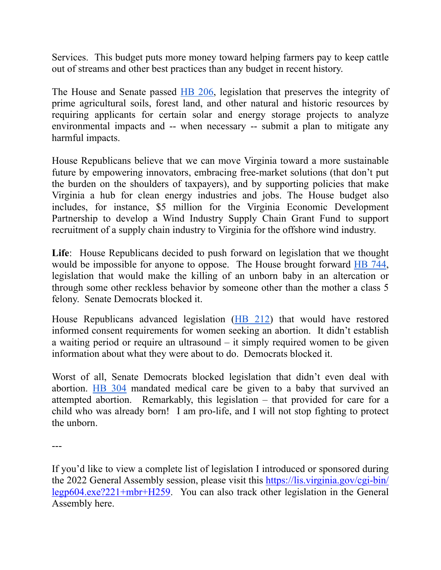Services. This budget puts more money toward helping farmers pay to keep cattle out of streams and other best practices than any budget in recent history.

The House and Senate passed [HB 206](https://lis.virginia.gov/cgi-bin/legp604.exe?221+sum+HB206), legislation that preserves the integrity of prime agricultural soils, forest land, and other natural and historic resources by requiring applicants for certain solar and energy storage projects to analyze environmental impacts and -- when necessary -- submit a plan to mitigate any harmful impacts.

House Republicans believe that we can move Virginia toward a more sustainable future by empowering innovators, embracing free-market solutions (that don't put the burden on the shoulders of taxpayers), and by supporting policies that make Virginia a hub for clean energy industries and jobs. The House budget also includes, for instance, \$5 million for the Virginia Economic Development Partnership to develop a Wind Industry Supply Chain Grant Fund to support recruitment of a supply chain industry to Virginia for the offshore wind industry.

**Life**: House Republicans decided to push forward on legislation that we thought would be impossible for anyone to oppose. The House brought forward [HB 744](https://lis.virginia.gov/cgi-bin/legp604.exe?221+sum+HB744), legislation that would make the killing of an unborn baby in an altercation or through some other reckless behavior by someone other than the mother a class 5 felony. Senate Democrats blocked it.

House Republicans advanced legislation ([HB 212\)](https://lis.virginia.gov/cgi-bin/legp604.exe?221+sum+HB212) that would have restored informed consent requirements for women seeking an abortion. It didn't establish a waiting period or require an ultrasound – it simply required women to be given information about what they were about to do. Democrats blocked it.

Worst of all, Senate Democrats blocked legislation that didn't even deal with abortion. [HB 304](https://lis.virginia.gov/cgi-bin/legp604.exe?221+sum+HB304) mandated medical care be given to a baby that survived an attempted abortion. Remarkably, this legislation – that provided for care for a child who was already born! I am pro-life, and I will not stop fighting to protect the unborn.

<sup>---</sup> 

If you'd like to view a complete list of legislation I introduced or sponsored during the 2022 General Assembly session, please visit this [https://lis.virginia.gov/cgi-bin/](https://lis.virginia.gov/cgi-bin/legp604.exe?221+mbr+H259) [legp604.exe?221+mbr+H259.](https://lis.virginia.gov/cgi-bin/legp604.exe?221+mbr+H259) You can also track other legislation in the General Assembly here.